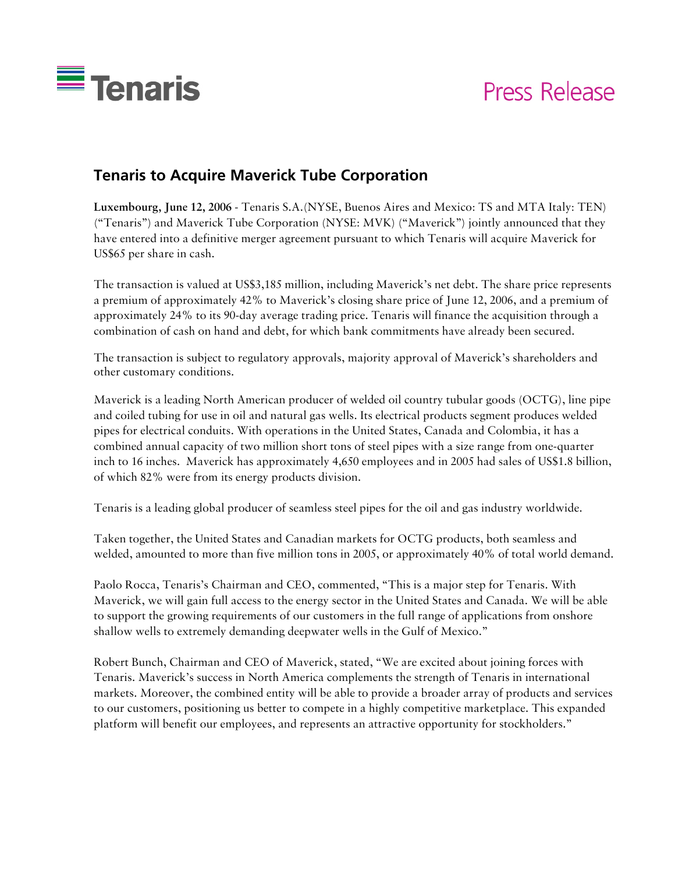

# Press Release

# **Tenaris to Acquire Maverick Tube Corporation**

**Luxembourg, June 12, 2006** - Tenaris S.A.(NYSE, Buenos Aires and Mexico: TS and MTA Italy: TEN) ("Tenaris") and Maverick Tube Corporation (NYSE: MVK) ("Maverick") jointly announced that they have entered into a definitive merger agreement pursuant to which Tenaris will acquire Maverick for US\$65 per share in cash.

The transaction is valued at US\$3,185 million, including Maverick's net debt. The share price represents a premium of approximately 42% to Maverick's closing share price of June 12, 2006, and a premium of approximately 24% to its 90-day average trading price. Tenaris will finance the acquisition through a combination of cash on hand and debt, for which bank commitments have already been secured.

The transaction is subject to regulatory approvals, majority approval of Maverick's shareholders and other customary conditions.

Maverick is a leading North American producer of welded oil country tubular goods (OCTG), line pipe and coiled tubing for use in oil and natural gas wells. Its electrical products segment produces welded pipes for electrical conduits. With operations in the United States, Canada and Colombia, it has a combined annual capacity of two million short tons of steel pipes with a size range from one-quarter inch to 16 inches. Maverick has approximately 4,650 employees and in 2005 had sales of US\$1.8 billion, of which 82% were from its energy products division.

Tenaris is a leading global producer of seamless steel pipes for the oil and gas industry worldwide.

Taken together, the United States and Canadian markets for OCTG products, both seamless and welded, amounted to more than five million tons in 2005, or approximately 40% of total world demand.

Paolo Rocca, Tenaris's Chairman and CEO, commented, "This is a major step for Tenaris. With Maverick, we will gain full access to the energy sector in the United States and Canada. We will be able to support the growing requirements of our customers in the full range of applications from onshore shallow wells to extremely demanding deepwater wells in the Gulf of Mexico."

Robert Bunch, Chairman and CEO of Maverick, stated, "We are excited about joining forces with Tenaris. Maverick's success in North America complements the strength of Tenaris in international markets. Moreover, the combined entity will be able to provide a broader array of products and services to our customers, positioning us better to compete in a highly competitive marketplace. This expanded platform will benefit our employees, and represents an attractive opportunity for stockholders."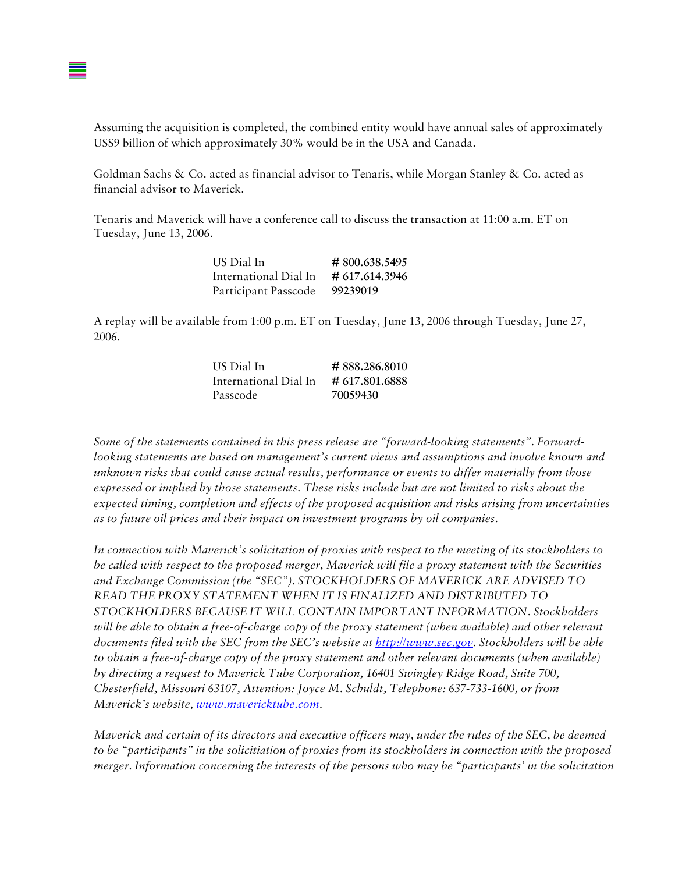Assuming the acquisition is completed, the combined entity would have annual sales of approximately US\$9 billion of which approximately 30% would be in the USA and Canada.

Goldman Sachs & Co. acted as financial advisor to Tenaris, while Morgan Stanley & Co. acted as financial advisor to Maverick.

Tenaris and Maverick will have a conference call to discuss the transaction at 11:00 a.m. ET on Tuesday, June 13, 2006.

| US Dial In            | #800.638.5495  |
|-----------------------|----------------|
| International Dial In | # 617.614.3946 |
| Participant Passcode  | 99239019       |

A replay will be available from 1:00 p.m. ET on Tuesday, June 13, 2006 through Tuesday, June 27, 2006.

| US Dial In            | #888.286.8010  |
|-----------------------|----------------|
| International Dial In | # 617.801.6888 |
| Passcode              | 70059430       |

*Some of the statements contained in this press release are "forward-looking statements". Forwardlooking statements are based on management's current views and assumptions and involve known and unknown risks that could cause actual results, performance or events to differ materially from those expressed or implied by those statements. These risks include but are not limited to risks about the expected timing, completion and effects of the proposed acquisition and risks arising from uncertainties as to future oil prices and their impact on investment programs by oil companies.* 

*In connection with Maverick's solicitation of proxies with respect to the meeting of its stockholders to be called with respect to the proposed merger, Maverick will file a proxy statement with the Securities and Exchange Commission (the "SEC"). STOCKHOLDERS OF MAVERICK ARE ADVISED TO READ THE PROXY STATEMENT WHEN IT IS FINALIZED AND DISTRIBUTED TO STOCKHOLDERS BECAUSE IT WILL CONTAIN IMPORTANT INFORMATION. Stockholders will be able to obtain a free-of-charge copy of the proxy statement (when available) and other relevant documents filed with the SEC from the SEC's website at http://www.sec.gov. Stockholders will be able to obtain a free-of-charge copy of the proxy statement and other relevant documents (when available) by directing a request to Maverick Tube Corporation, 16401 Swingley Ridge Road, Suite 700, Chesterfield, Missouri 63107, Attention: Joyce M. Schuldt, Telephone: 637-733-1600, or from Maverick's website, www.mavericktube.com.* 

*Maverick and certain of its directors and executive officers may, under the rules of the SEC, be deemed to be "participants" in the solicitiation of proxies from its stockholders in connection with the proposed merger. Information concerning the interests of the persons who may be "participants' in the solicitation*